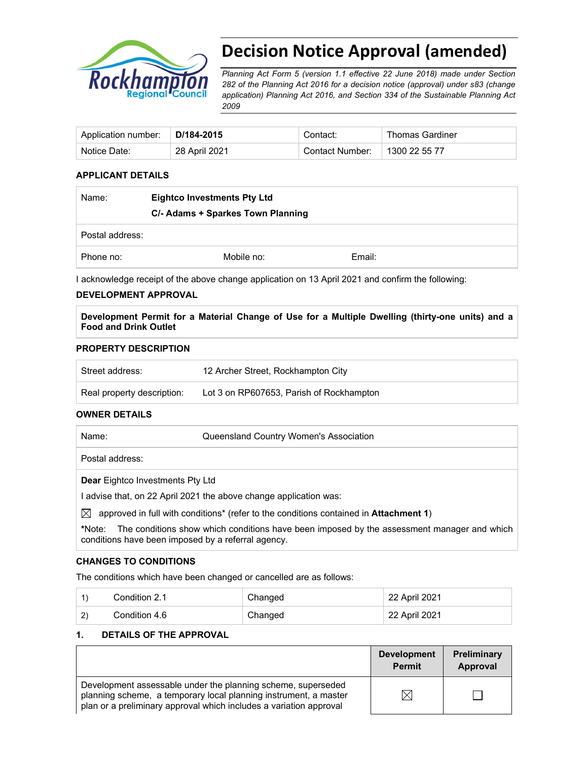

# **Decision Notice Approval (amended)**

*Planning Act Form 5 (version 1.1 effective 22 June 2018) made under Section 282 of the Planning Act 2016 for a decision notice (approval) under s83 (change application) Planning Act 2016, and Section 334 of the Sustainable Planning Act 2009*

| Application number: | D/184-2015    | Contact:        | <b>Thomas Gardiner</b> |
|---------------------|---------------|-----------------|------------------------|
| Notice Date:        | 28 April 2021 | Contact Number: | 1300 22 55 77          |

## **APPLICANT DETAILS**

| Name:           | <b>Eightco Investments Pty Ltd</b><br>C/- Adams + Sparkes Town Planning |        |
|-----------------|-------------------------------------------------------------------------|--------|
| Postal address: |                                                                         |        |
| Phone no:       | Mobile no:                                                              | Email: |

I acknowledge receipt of the above change application on 13 April 2021 and confirm the following:

#### **DEVELOPMENT APPROVAL**

**Development Permit for a Material Change of Use for a Multiple Dwelling (thirty-one units) and a Food and Drink Outlet** 

## **PROPERTY DESCRIPTION**

| Street address:            | 12 Archer Street, Rockhampton City       |
|----------------------------|------------------------------------------|
| Real property description: | Lot 3 on RP607653, Parish of Rockhampton |

#### **OWNER DETAILS**

| Name:                                                             | Queensland Country Women's Association                                                |  |
|-------------------------------------------------------------------|---------------------------------------------------------------------------------------|--|
| Postal address:                                                   |                                                                                       |  |
| <b>Dear Eightco Investments Pty Ltd</b>                           |                                                                                       |  |
| I advise that, on 22 April 2021 the above change application was: |                                                                                       |  |
| ⊠                                                                 | approved in full with conditions* (refer to the conditions contained in Attachment 1) |  |

**\***Note:The conditions show which conditions have been imposed by the assessment manager and which conditions have been imposed by a referral agency.

#### **CHANGES TO CONDITIONS**

The conditions which have been changed or cancelled are as follows:

|              | Condition 2.1 | Changed | 22 April 2021 |
|--------------|---------------|---------|---------------|
| $\mathbf{2}$ | Condition 4.6 | Changed | 22 April 2021 |

#### **1. DETAILS OF THE APPROVAL**

|                                                                                                                                                                                                        | <b>Development</b><br><b>Permit</b> | <b>Preliminary</b><br>Approval |
|--------------------------------------------------------------------------------------------------------------------------------------------------------------------------------------------------------|-------------------------------------|--------------------------------|
| Development assessable under the planning scheme, superseded<br>planning scheme, a temporary local planning instrument, a master<br>plan or a preliminary approval which includes a variation approval | $\mathbb{X}$                        |                                |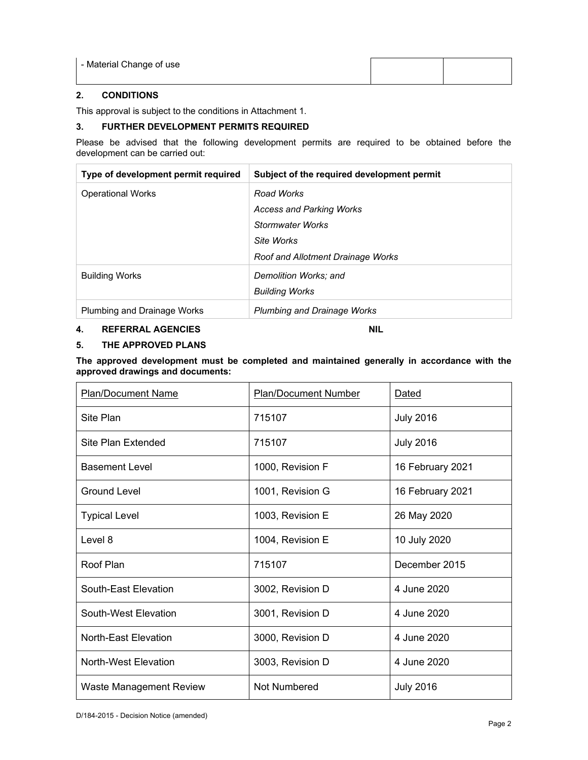| - Material Change of use |  |
|--------------------------|--|
|                          |  |

## **2. CONDITIONS**

This approval is subject to the conditions in Attachment 1.

## **3. FURTHER DEVELOPMENT PERMITS REQUIRED**

Please be advised that the following development permits are required to be obtained before the development can be carried out:

| Type of development permit required | Subject of the required development permit |
|-------------------------------------|--------------------------------------------|
| <b>Operational Works</b>            | Road Works                                 |
|                                     | <b>Access and Parking Works</b>            |
|                                     | <b>Stormwater Works</b>                    |
|                                     | Site Works                                 |
|                                     | <b>Roof and Allotment Drainage Works</b>   |
| <b>Building Works</b>               | Demolition Works; and                      |
|                                     | <b>Building Works</b>                      |
| Plumbing and Drainage Works         | <b>Plumbing and Drainage Works</b>         |

### **4. REFERRAL AGENCIES NIL**

#### **5. THE APPROVED PLANS**

**The approved development must be completed and maintained generally in accordance with the approved drawings and documents:** 

| <b>Plan/Document Name</b>   | <b>Plan/Document Number</b> | <b>Dated</b>     |
|-----------------------------|-----------------------------|------------------|
| Site Plan                   | 715107                      | <b>July 2016</b> |
| Site Plan Extended          | 715107                      | <b>July 2016</b> |
| <b>Basement Level</b>       | 1000, Revision F            | 16 February 2021 |
| Ground Level                | 1001, Revision G            | 16 February 2021 |
| <b>Typical Level</b>        | 1003, Revision E            | 26 May 2020      |
| Level 8                     | 1004, Revision E            | 10 July 2020     |
| Roof Plan                   | 715107                      | December 2015    |
| South-East Elevation        | 3002, Revision D            | 4 June 2020      |
| South-West Elevation        | 3001, Revision D            | 4 June 2020      |
| <b>North-East Elevation</b> | 3000, Revision D            | 4 June 2020      |
| <b>North-West Elevation</b> | 3003, Revision D            | 4 June 2020      |
| Waste Management Review     | <b>Not Numbered</b>         | <b>July 2016</b> |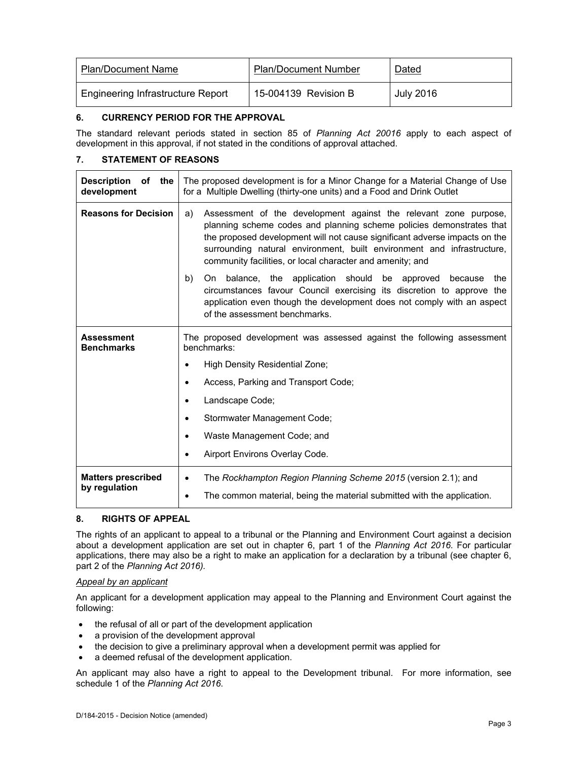| Plan/Document Name                | <b>Plan/Document Number</b> | Dated            |
|-----------------------------------|-----------------------------|------------------|
| Engineering Infrastructure Report | 15-004139 Revision B        | <b>July 2016</b> |

#### **6. CURRENCY PERIOD FOR THE APPROVAL**

The standard relevant periods stated in section 85 of *Planning Act 20016* apply to each aspect of development in this approval, if not stated in the conditions of approval attached.

## **7. STATEMENT OF REASONS**

| <b>Description</b><br>of the<br>development | The proposed development is for a Minor Change for a Material Change of Use<br>for a Multiple Dwelling (thirty-one units) and a Food and Drink Outlet                                                                                                                                                                                                               |  |
|---------------------------------------------|---------------------------------------------------------------------------------------------------------------------------------------------------------------------------------------------------------------------------------------------------------------------------------------------------------------------------------------------------------------------|--|
| <b>Reasons for Decision</b>                 | Assessment of the development against the relevant zone purpose,<br>a)<br>planning scheme codes and planning scheme policies demonstrates that<br>the proposed development will not cause significant adverse impacts on the<br>surrounding natural environment, built environment and infrastructure,<br>community facilities, or local character and amenity; and |  |
|                                             | On balance, the application should be approved because<br>b)<br>the<br>circumstances favour Council exercising its discretion to approve the<br>application even though the development does not comply with an aspect<br>of the assessment benchmarks.                                                                                                             |  |
| <b>Assessment</b><br><b>Benchmarks</b>      | The proposed development was assessed against the following assessment<br>benchmarks:<br>High Density Residential Zone;<br>٠<br>Access, Parking and Transport Code;<br>٠<br>Landscape Code;<br>٠<br>Stormwater Management Code;<br>٠<br>Waste Management Code; and<br>٠<br>Airport Environs Overlay Code.                                                           |  |
| <b>Matters prescribed</b><br>by regulation  | The Rockhampton Region Planning Scheme 2015 (version 2.1); and<br>$\bullet$<br>The common material, being the material submitted with the application.<br>٠                                                                                                                                                                                                         |  |

#### **8. RIGHTS OF APPEAL**

The rights of an applicant to appeal to a tribunal or the Planning and Environment Court against a decision about a development application are set out in chapter 6, part 1 of the *Planning Act 2016*. For particular applications, there may also be a right to make an application for a declaration by a tribunal (see chapter 6, part 2 of the *Planning Act 2016).*

#### *Appeal by an applicant*

An applicant for a development application may appeal to the Planning and Environment Court against the following:

- the refusal of all or part of the development application
- a provision of the development approval
- the decision to give a preliminary approval when a development permit was applied for
- a deemed refusal of the development application.

An applicant may also have a right to appeal to the Development tribunal. For more information, see schedule 1 of the *Planning Act 2016*.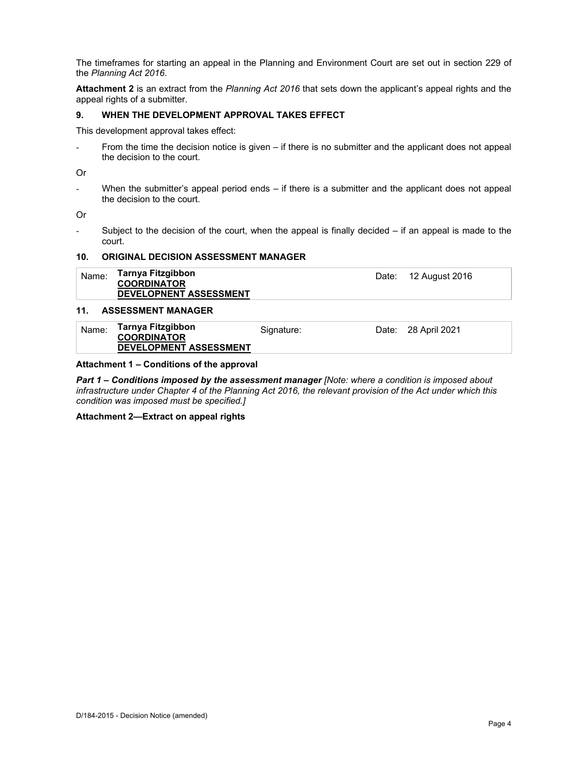The timeframes for starting an appeal in the Planning and Environment Court are set out in section 229 of the *Planning Act 2016*.

**Attachment 2** is an extract from the *Planning Act 2016* that sets down the applicant's appeal rights and the appeal rights of a submitter.

## **9. WHEN THE DEVELOPMENT APPROVAL TAKES EFFECT**

This development approval takes effect:

- From the time the decision notice is given – if there is no submitter and the applicant does not appeal the decision to the court.

Or

- When the submitter's appeal period ends – if there is a submitter and the applicant does not appeal the decision to the court.

Or

- Subject to the decision of the court, when the appeal is finally decided – if an appeal is made to the court.

#### **10. ORIGINAL DECISION ASSESSMENT MANAGER**

| Name: | Tarnya Fitzgibbon<br><b>COORDINATOR</b><br><b>DEVELOPNENT ASSESSMENT</b> |  | Date: 12 August 2016 |  |
|-------|--------------------------------------------------------------------------|--|----------------------|--|
|-------|--------------------------------------------------------------------------|--|----------------------|--|

#### **11. ASSESSMENT MANAGER**

| Name: | Tarnya Fitzgibbon<br><b>COORDINATOR</b> | Signature: | Date: 28 April 2021 |
|-------|-----------------------------------------|------------|---------------------|
|       | <b>DEVELOPMENT ASSESSMENT</b>           |            |                     |

#### **Attachment 1 – Conditions of the approval**

*Part 1* **–** *Conditions imposed by the assessment manager [Note: where a condition is imposed about infrastructure under Chapter 4 of the Planning Act 2016, the relevant provision of the Act under which this condition was imposed must be specified.]*

**Attachment 2—Extract on appeal rights**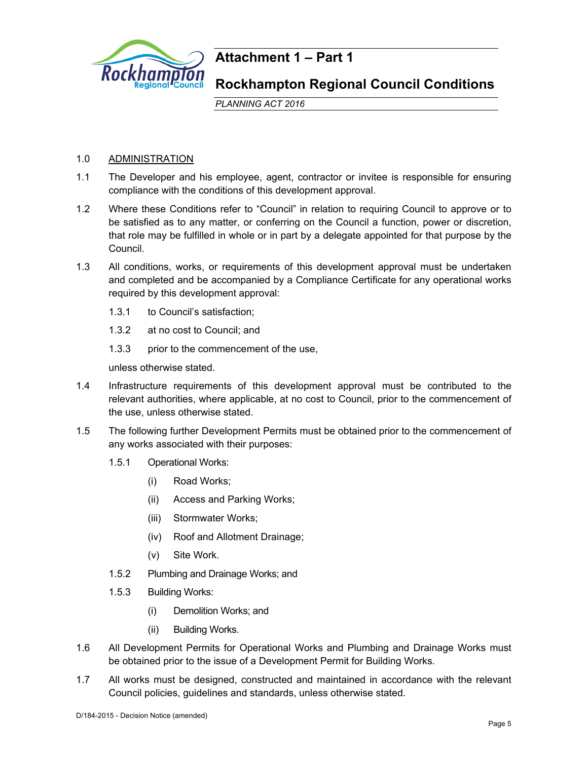

## **Attachment 1 – Part 1**

## **Rockhampton Regional Council Conditions**

*PLANNING ACT 2016*

## 1.0 ADMINISTRATION

- 1.1 The Developer and his employee, agent, contractor or invitee is responsible for ensuring compliance with the conditions of this development approval.
- 1.2 Where these Conditions refer to "Council" in relation to requiring Council to approve or to be satisfied as to any matter, or conferring on the Council a function, power or discretion, that role may be fulfilled in whole or in part by a delegate appointed for that purpose by the Council.
- 1.3 All conditions, works, or requirements of this development approval must be undertaken and completed and be accompanied by a Compliance Certificate for any operational works required by this development approval:
	- 1.3.1 to Council's satisfaction;
	- 1.3.2 at no cost to Council; and
	- 1.3.3 prior to the commencement of the use,

unless otherwise stated.

- 1.4 Infrastructure requirements of this development approval must be contributed to the relevant authorities, where applicable, at no cost to Council, prior to the commencement of the use, unless otherwise stated.
- 1.5 The following further Development Permits must be obtained prior to the commencement of any works associated with their purposes:
	- 1.5.1 Operational Works:
		- (i) Road Works;
		- (ii) Access and Parking Works;
		- (iii) Stormwater Works;
		- (iv) Roof and Allotment Drainage;
		- (v) Site Work.
	- 1.5.2 Plumbing and Drainage Works; and
	- 1.5.3 Building Works:
		- (i) Demolition Works; and
		- (ii) Building Works.
- 1.6 All Development Permits for Operational Works and Plumbing and Drainage Works must be obtained prior to the issue of a Development Permit for Building Works.
- 1.7 All works must be designed, constructed and maintained in accordance with the relevant Council policies, guidelines and standards, unless otherwise stated.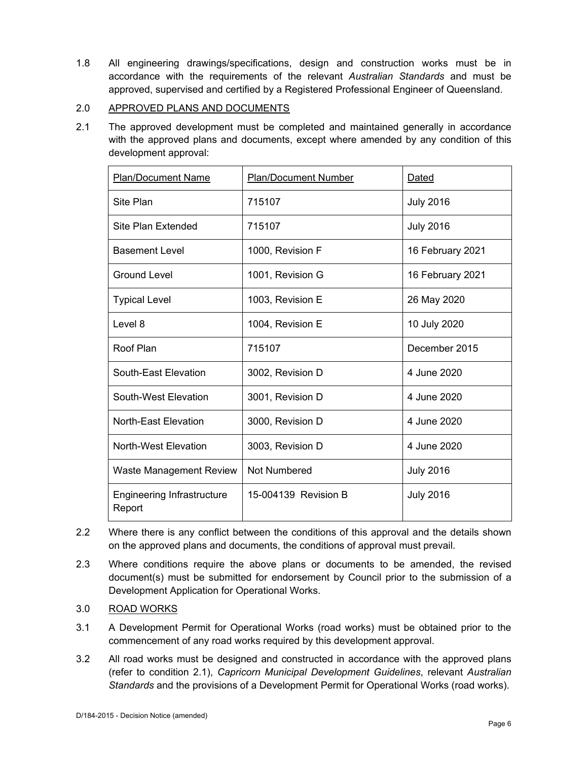1.8 All engineering drawings/specifications, design and construction works must be in accordance with the requirements of the relevant *Australian Standards* and must be approved, supervised and certified by a Registered Professional Engineer of Queensland.

## 2.0 APPROVED PLANS AND DOCUMENTS

2.1 The approved development must be completed and maintained generally in accordance with the approved plans and documents, except where amended by any condition of this development approval:

| <b>Plan/Document Name</b>                   | <b>Plan/Document Number</b> | Dated            |
|---------------------------------------------|-----------------------------|------------------|
| Site Plan                                   | 715107                      | <b>July 2016</b> |
| Site Plan Extended                          | 715107                      | <b>July 2016</b> |
| <b>Basement Level</b>                       | 1000, Revision F            | 16 February 2021 |
| Ground Level                                | 1001, Revision G            | 16 February 2021 |
| <b>Typical Level</b>                        | 1003, Revision E            | 26 May 2020      |
| Level 8                                     | 1004, Revision E            | 10 July 2020     |
| Roof Plan                                   | 715107                      | December 2015    |
| South-East Elevation                        | 3002, Revision D            | 4 June 2020      |
| South-West Elevation                        | 3001, Revision D            | 4 June 2020      |
| <b>North-East Elevation</b>                 | 3000, Revision D            | 4 June 2020      |
| North-West Elevation                        | 3003, Revision D            | 4 June 2020      |
| Waste Management Review                     | <b>Not Numbered</b>         | <b>July 2016</b> |
| <b>Engineering Infrastructure</b><br>Report | 15-004139 Revision B        | <b>July 2016</b> |

- 2.2 Where there is any conflict between the conditions of this approval and the details shown on the approved plans and documents, the conditions of approval must prevail.
- 2.3 Where conditions require the above plans or documents to be amended, the revised document(s) must be submitted for endorsement by Council prior to the submission of a Development Application for Operational Works.
- 3.0 ROAD WORKS
- 3.1 A Development Permit for Operational Works (road works) must be obtained prior to the commencement of any road works required by this development approval.
- 3.2 All road works must be designed and constructed in accordance with the approved plans (refer to condition 2.1), *Capricorn Municipal Development Guidelines*, relevant *Australian Standards* and the provisions of a Development Permit for Operational Works (road works).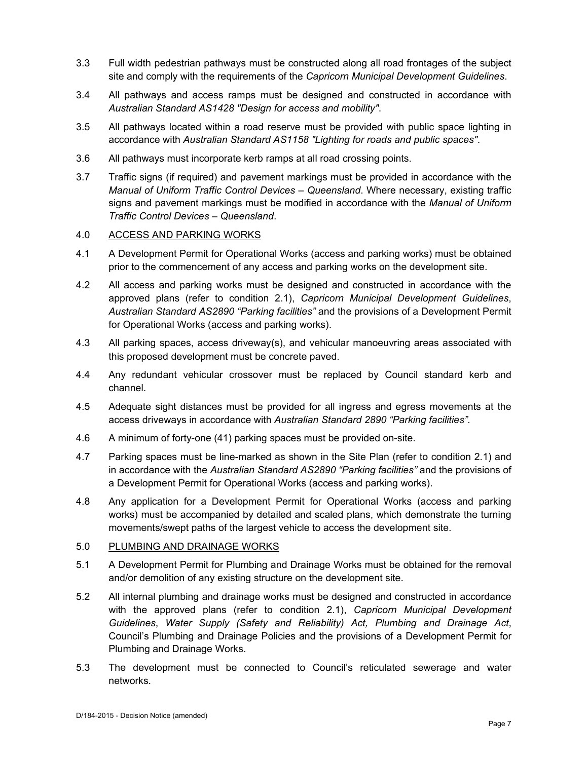- 3.3 Full width pedestrian pathways must be constructed along all road frontages of the subject site and comply with the requirements of the *Capricorn Municipal Development Guidelines*.
- 3.4 All pathways and access ramps must be designed and constructed in accordance with *Australian Standard AS1428 "Design for access and mobility"*.
- 3.5 All pathways located within a road reserve must be provided with public space lighting in accordance with *Australian Standard AS1158 "Lighting for roads and public spaces"*.
- 3.6 All pathways must incorporate kerb ramps at all road crossing points.
- 3.7 Traffic signs (if required) and pavement markings must be provided in accordance with the *Manual of Uniform Traffic Control Devices – Queensland*. Where necessary, existing traffic signs and pavement markings must be modified in accordance with the *Manual of Uniform Traffic Control Devices – Queensland*.

## 4.0 ACCESS AND PARKING WORKS

- 4.1 A Development Permit for Operational Works (access and parking works) must be obtained prior to the commencement of any access and parking works on the development site.
- 4.2 All access and parking works must be designed and constructed in accordance with the approved plans (refer to condition 2.1), *Capricorn Municipal Development Guidelines*, *Australian Standard AS2890 "Parking facilities"* and the provisions of a Development Permit for Operational Works (access and parking works).
- 4.3 All parking spaces, access driveway(s), and vehicular manoeuvring areas associated with this proposed development must be concrete paved.
- 4.4 Any redundant vehicular crossover must be replaced by Council standard kerb and channel.
- 4.5 Adequate sight distances must be provided for all ingress and egress movements at the access driveways in accordance with *Australian Standard 2890 "Parking facilities"*.
- 4.6 A minimum of forty-one (41) parking spaces must be provided on-site.
- 4.7 Parking spaces must be line-marked as shown in the Site Plan (refer to condition 2.1) and in accordance with the *Australian Standard AS2890 "Parking facilities"* and the provisions of a Development Permit for Operational Works (access and parking works).
- 4.8 Any application for a Development Permit for Operational Works (access and parking works) must be accompanied by detailed and scaled plans, which demonstrate the turning movements/swept paths of the largest vehicle to access the development site.

## 5.0 PLUMBING AND DRAINAGE WORKS

- 5.1 A Development Permit for Plumbing and Drainage Works must be obtained for the removal and/or demolition of any existing structure on the development site.
- 5.2 All internal plumbing and drainage works must be designed and constructed in accordance with the approved plans (refer to condition 2.1), *Capricorn Municipal Development Guidelines*, *Water Supply (Safety and Reliability) Act, Plumbing and Drainage Act*, Council's Plumbing and Drainage Policies and the provisions of a Development Permit for Plumbing and Drainage Works.
- 5.3 The development must be connected to Council's reticulated sewerage and water networks.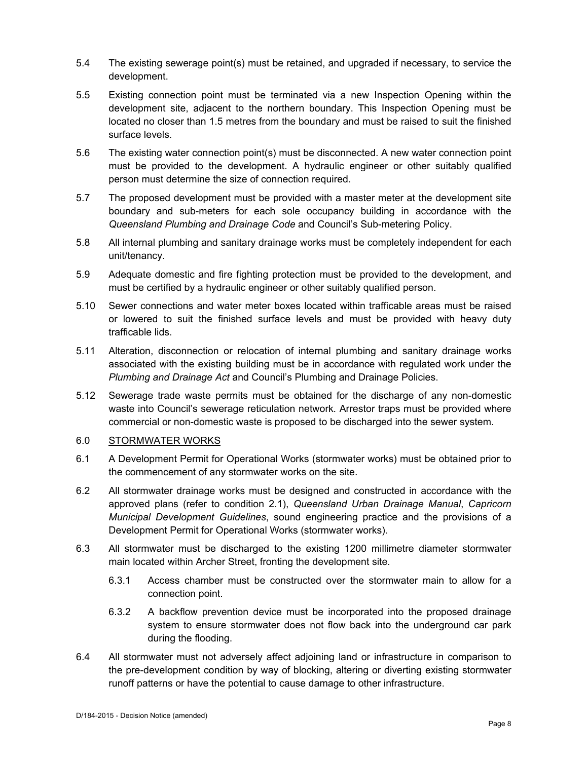- 5.4 The existing sewerage point(s) must be retained, and upgraded if necessary, to service the development.
- 5.5 Existing connection point must be terminated via a new Inspection Opening within the development site, adjacent to the northern boundary. This Inspection Opening must be located no closer than 1.5 metres from the boundary and must be raised to suit the finished surface levels.
- 5.6 The existing water connection point(s) must be disconnected. A new water connection point must be provided to the development. A hydraulic engineer or other suitably qualified person must determine the size of connection required.
- 5.7 The proposed development must be provided with a master meter at the development site boundary and sub-meters for each sole occupancy building in accordance with the *Queensland Plumbing and Drainage Code* and Council's Sub-metering Policy.
- 5.8 All internal plumbing and sanitary drainage works must be completely independent for each unit/tenancy.
- 5.9 Adequate domestic and fire fighting protection must be provided to the development, and must be certified by a hydraulic engineer or other suitably qualified person.
- 5.10 Sewer connections and water meter boxes located within trafficable areas must be raised or lowered to suit the finished surface levels and must be provided with heavy duty trafficable lids.
- 5.11 Alteration, disconnection or relocation of internal plumbing and sanitary drainage works associated with the existing building must be in accordance with regulated work under the *Plumbing and Drainage Act* and Council's Plumbing and Drainage Policies.
- 5.12 Sewerage trade waste permits must be obtained for the discharge of any non-domestic waste into Council's sewerage reticulation network. Arrestor traps must be provided where commercial or non-domestic waste is proposed to be discharged into the sewer system.

## 6.0 STORMWATER WORKS

- 6.1 A Development Permit for Operational Works (stormwater works) must be obtained prior to the commencement of any stormwater works on the site.
- 6.2 All stormwater drainage works must be designed and constructed in accordance with the approved plans (refer to condition 2.1), *Queensland Urban Drainage Manual*, *Capricorn Municipal Development Guidelines*, sound engineering practice and the provisions of a Development Permit for Operational Works (stormwater works).
- 6.3 All stormwater must be discharged to the existing 1200 millimetre diameter stormwater main located within Archer Street, fronting the development site.
	- 6.3.1 Access chamber must be constructed over the stormwater main to allow for a connection point.
	- 6.3.2 A backflow prevention device must be incorporated into the proposed drainage system to ensure stormwater does not flow back into the underground car park during the flooding.
- 6.4 All stormwater must not adversely affect adjoining land or infrastructure in comparison to the pre-development condition by way of blocking, altering or diverting existing stormwater runoff patterns or have the potential to cause damage to other infrastructure.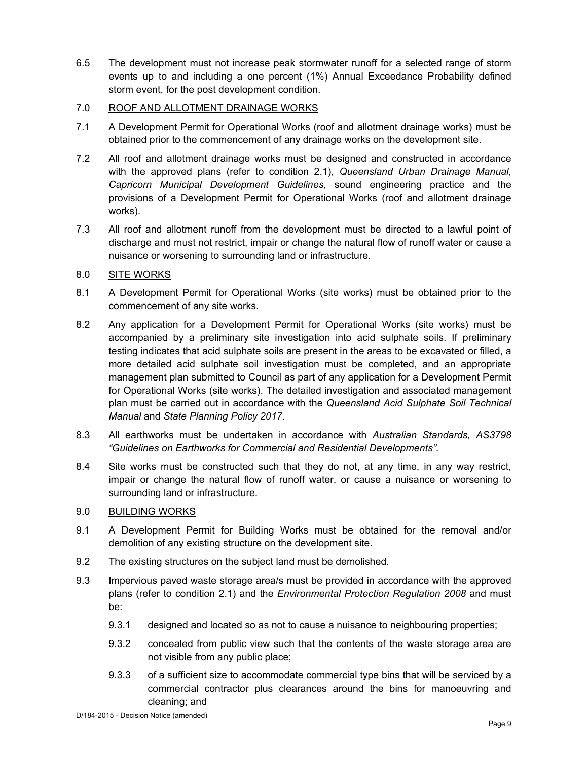6.5 The development must not increase peak stormwater runoff for a selected range of storm events up to and including a one percent (1%) Annual Exceedance Probability defined storm event, for the post development condition.

## 7.0 ROOF AND ALLOTMENT DRAINAGE WORKS

- 7.1 A Development Permit for Operational Works (roof and allotment drainage works) must be obtained prior to the commencement of any drainage works on the development site.
- 7.2 All roof and allotment drainage works must be designed and constructed in accordance with the approved plans (refer to condition 2.1), *Queensland Urban Drainage Manual*, *Capricorn Municipal Development Guidelines*, sound engineering practice and the provisions of a Development Permit for Operational Works (roof and allotment drainage works).
- 7.3 All roof and allotment runoff from the development must be directed to a lawful point of discharge and must not restrict, impair or change the natural flow of runoff water or cause a nuisance or worsening to surrounding land or infrastructure.

## 8.0 SITE WORKS

- 8.1 A Development Permit for Operational Works (site works) must be obtained prior to the commencement of any site works.
- 8.2 Any application for a Development Permit for Operational Works (site works) must be accompanied by a preliminary site investigation into acid sulphate soils. If preliminary testing indicates that acid sulphate soils are present in the areas to be excavated or filled, a more detailed acid sulphate soil investigation must be completed, and an appropriate management plan submitted to Council as part of any application for a Development Permit for Operational Works (site works). The detailed investigation and associated management plan must be carried out in accordance with the *Queensland Acid Sulphate Soil Technical Manual* and *State Planning Policy 2017*.
- 8.3 All earthworks must be undertaken in accordance with *Australian Standards, AS3798 "Guidelines on Earthworks for Commercial and Residential Developments".*
- 8.4 Site works must be constructed such that they do not, at any time, in any way restrict, impair or change the natural flow of runoff water, or cause a nuisance or worsening to surrounding land or infrastructure.

## 9.0 BUILDING WORKS

- 9.1 A Development Permit for Building Works must be obtained for the removal and/or demolition of any existing structure on the development site.
- 9.2 The existing structures on the subject land must be demolished.
- 9.3 Impervious paved waste storage area/s must be provided in accordance with the approved plans (refer to condition 2.1) and the *Environmental Protection Regulation 2008* and must be:
	- 9.3.1 designed and located so as not to cause a nuisance to neighbouring properties;
	- 9.3.2 concealed from public view such that the contents of the waste storage area are not visible from any public place;
	- 9.3.3 of a sufficient size to accommodate commercial type bins that will be serviced by a commercial contractor plus clearances around the bins for manoeuvring and cleaning; and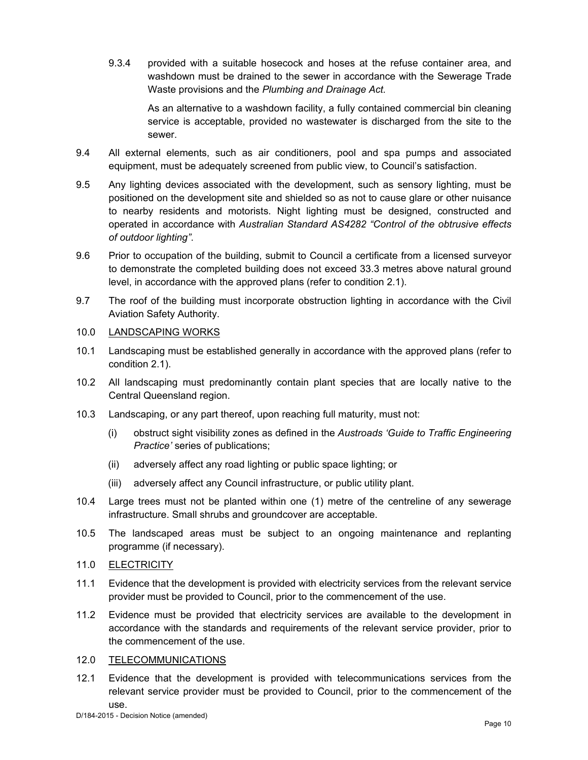9.3.4 provided with a suitable hosecock and hoses at the refuse container area, and washdown must be drained to the sewer in accordance with the Sewerage Trade Waste provisions and the *Plumbing and Drainage Act.*

As an alternative to a washdown facility, a fully contained commercial bin cleaning service is acceptable, provided no wastewater is discharged from the site to the sewer.

- 9.4 All external elements, such as air conditioners, pool and spa pumps and associated equipment, must be adequately screened from public view, to Council's satisfaction.
- 9.5 Any lighting devices associated with the development, such as sensory lighting, must be positioned on the development site and shielded so as not to cause glare or other nuisance to nearby residents and motorists. Night lighting must be designed, constructed and operated in accordance with *Australian Standard AS4282 "Control of the obtrusive effects of outdoor lighting"*.
- 9.6 Prior to occupation of the building, submit to Council a certificate from a licensed surveyor to demonstrate the completed building does not exceed 33.3 metres above natural ground level, in accordance with the approved plans (refer to condition 2.1).
- 9.7 The roof of the building must incorporate obstruction lighting in accordance with the Civil Aviation Safety Authority.

## 10.0 LANDSCAPING WORKS

- 10.1 Landscaping must be established generally in accordance with the approved plans (refer to condition 2.1).
- 10.2 All landscaping must predominantly contain plant species that are locally native to the Central Queensland region.
- 10.3 Landscaping, or any part thereof, upon reaching full maturity, must not:
	- (i) obstruct sight visibility zones as defined in the *Austroads 'Guide to Traffic Engineering Practice'* series of publications;
	- (ii) adversely affect any road lighting or public space lighting; or
	- (iii) adversely affect any Council infrastructure, or public utility plant.
- 10.4 Large trees must not be planted within one (1) metre of the centreline of any sewerage infrastructure. Small shrubs and groundcover are acceptable.
- 10.5 The landscaped areas must be subject to an ongoing maintenance and replanting programme (if necessary).
- 11.0 ELECTRICITY
- 11.1 Evidence that the development is provided with electricity services from the relevant service provider must be provided to Council, prior to the commencement of the use.
- 11.2 Evidence must be provided that electricity services are available to the development in accordance with the standards and requirements of the relevant service provider, prior to the commencement of the use.

## 12.0 TELECOMMUNICATIONS

12.1 Evidence that the development is provided with telecommunications services from the relevant service provider must be provided to Council, prior to the commencement of the use.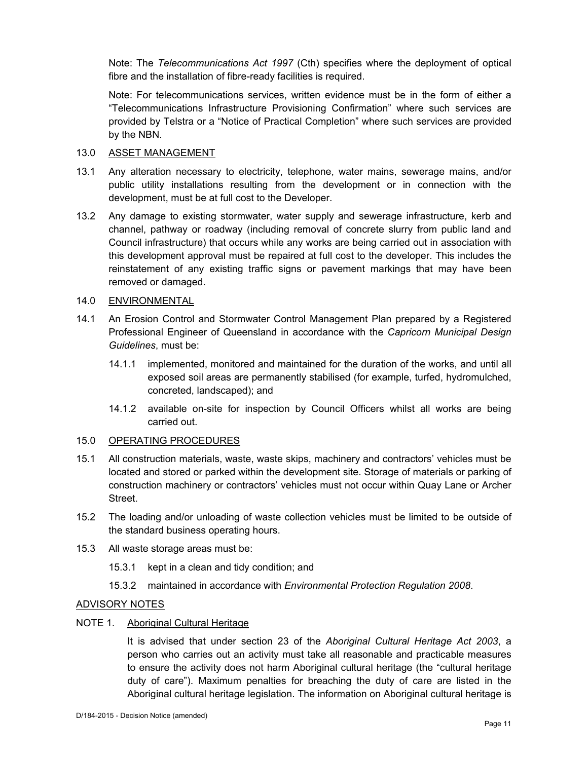Note: The *Telecommunications Act 1997* (Cth) specifies where the deployment of optical fibre and the installation of fibre-ready facilities is required.

Note: For telecommunications services, written evidence must be in the form of either a "Telecommunications Infrastructure Provisioning Confirmation" where such services are provided by Telstra or a "Notice of Practical Completion" where such services are provided by the NBN.

## 13.0 ASSET MANAGEMENT

- 13.1 Any alteration necessary to electricity, telephone, water mains, sewerage mains, and/or public utility installations resulting from the development or in connection with the development, must be at full cost to the Developer.
- 13.2 Any damage to existing stormwater, water supply and sewerage infrastructure, kerb and channel, pathway or roadway (including removal of concrete slurry from public land and Council infrastructure) that occurs while any works are being carried out in association with this development approval must be repaired at full cost to the developer. This includes the reinstatement of any existing traffic signs or pavement markings that may have been removed or damaged.

## 14.0 ENVIRONMENTAL

- 14.1 An Erosion Control and Stormwater Control Management Plan prepared by a Registered Professional Engineer of Queensland in accordance with the *Capricorn Municipal Design Guidelines*, must be:
	- 14.1.1 implemented, monitored and maintained for the duration of the works, and until all exposed soil areas are permanently stabilised (for example, turfed, hydromulched, concreted, landscaped); and
	- 14.1.2 available on-site for inspection by Council Officers whilst all works are being carried out.

#### 15.0 OPERATING PROCEDURES

- 15.1 All construction materials, waste, waste skips, machinery and contractors' vehicles must be located and stored or parked within the development site. Storage of materials or parking of construction machinery or contractors' vehicles must not occur within Quay Lane or Archer **Street**
- 15.2 The loading and/or unloading of waste collection vehicles must be limited to be outside of the standard business operating hours.
- 15.3 All waste storage areas must be:
	- 15.3.1 kept in a clean and tidy condition; and
	- 15.3.2 maintained in accordance with *Environmental Protection Regulation 2008*.

#### ADVISORY NOTES

#### NOTE 1. Aboriginal Cultural Heritage

It is advised that under section 23 of the *Aboriginal Cultural Heritage Act 2003*, a person who carries out an activity must take all reasonable and practicable measures to ensure the activity does not harm Aboriginal cultural heritage (the "cultural heritage duty of care"). Maximum penalties for breaching the duty of care are listed in the Aboriginal cultural heritage legislation. The information on Aboriginal cultural heritage is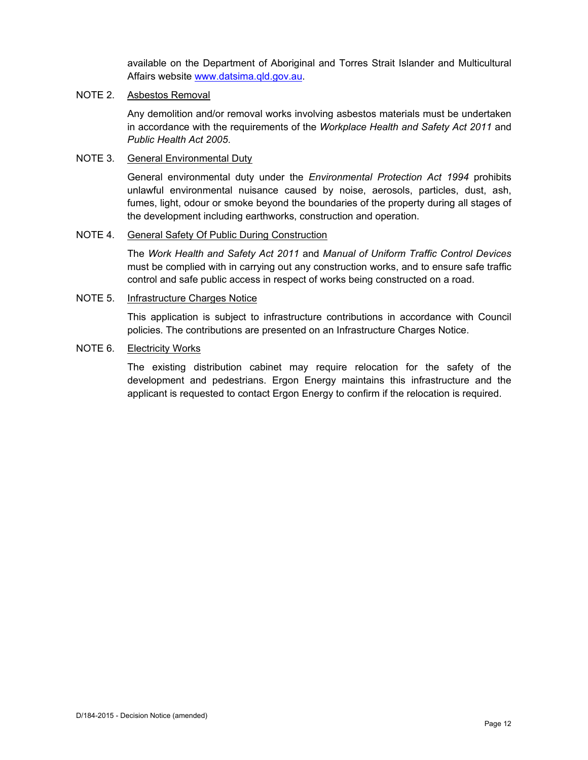available on the Department of Aboriginal and Torres Strait Islander and Multicultural Affairs website www.datsima.qld.gov.au.

## NOTE 2. Asbestos Removal

Any demolition and/or removal works involving asbestos materials must be undertaken in accordance with the requirements of the *Workplace Health and Safety Act 2011* and *Public Health Act 2005*.

## NOTE 3. General Environmental Duty

General environmental duty under the *Environmental Protection Act 1994* prohibits unlawful environmental nuisance caused by noise, aerosols, particles, dust, ash, fumes, light, odour or smoke beyond the boundaries of the property during all stages of the development including earthworks, construction and operation.

#### NOTE 4. General Safety Of Public During Construction

The *Work Health and Safety Act 2011* and *Manual of Uniform Traffic Control Devices* must be complied with in carrying out any construction works, and to ensure safe traffic control and safe public access in respect of works being constructed on a road.

## NOTE 5. Infrastructure Charges Notice

This application is subject to infrastructure contributions in accordance with Council policies. The contributions are presented on an Infrastructure Charges Notice.

## NOTE 6. Electricity Works

The existing distribution cabinet may require relocation for the safety of the development and pedestrians. Ergon Energy maintains this infrastructure and the applicant is requested to contact Ergon Energy to confirm if the relocation is required.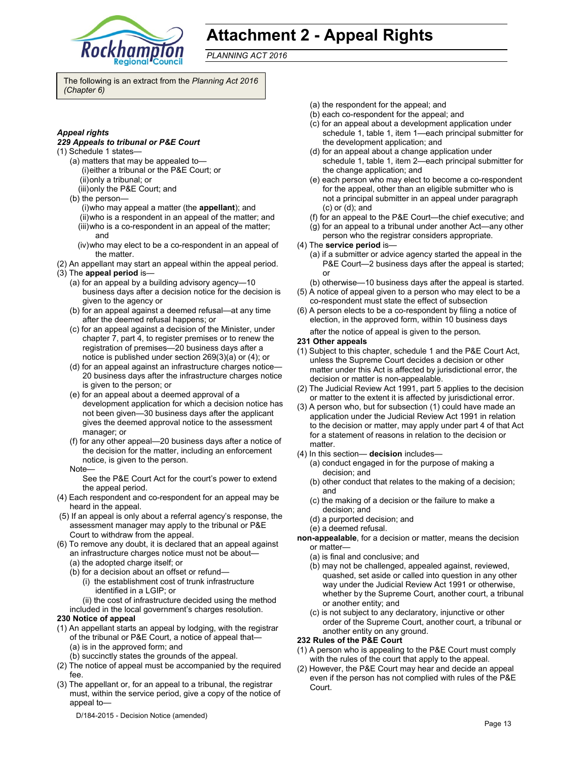

# **Attachment 2 - Appeal Rights**

*PLANNING ACT 2016*

The following is an extract from the *Planning Act 2016 (Chapter 6)* 

#### *Appeal rights*

#### *229 Appeals to tribunal or P&E Court*

- (1) Schedule 1 states—
	- (a) matters that may be appealed to— (i) either a tribunal or the P&E Court; or (ii) only a tribunal; or
	- (iii) only the P&E Court; and

(b) the person—

- (i) who may appeal a matter (the **appellant**); and
- (ii) who is a respondent in an appeal of the matter; and
- (iii) who is a co-respondent in an appeal of the matter; and
- (iv) who may elect to be a co-respondent in an appeal of the matter.
- (2) An appellant may start an appeal within the appeal period.
- (3) The **appeal period** is—
	- (a) for an appeal by a building advisory agency—10 business days after a decision notice for the decision is given to the agency or
	- (b) for an appeal against a deemed refusal—at any time after the deemed refusal happens; or
	- (c) for an appeal against a decision of the Minister, under chapter 7, part 4, to register premises or to renew the registration of premises—20 business days after a notice is published under section 269(3)(a) or (4); or
	- (d) for an appeal against an infrastructure charges notice— 20 business days after the infrastructure charges notice is given to the person; or
	- (e) for an appeal about a deemed approval of a development application for which a decision notice has not been given—30 business days after the applicant gives the deemed approval notice to the assessment manager; or
	- (f) for any other appeal—20 business days after a notice of the decision for the matter, including an enforcement notice, is given to the person.
	- Note—

See the P&E Court Act for the court's power to extend the appeal period.

- (4) Each respondent and co-respondent for an appeal may be heard in the appeal.
- (5) If an appeal is only about a referral agency's response, the assessment manager may apply to the tribunal or P&E Court to withdraw from the appeal.
- (6) To remove any doubt, it is declared that an appeal against an infrastructure charges notice must not be about—
	- (a) the adopted charge itself; or
	- (b) for a decision about an offset or refund— (i) the establishment cost of trunk infrastructure identified in a LGIP; or

(ii) the cost of infrastructure decided using the method included in the local government's charges resolution.

#### **230 Notice of appeal**

- (1) An appellant starts an appeal by lodging, with the registrar of the tribunal or P&E Court, a notice of appeal that— (a) is in the approved form; and
	- (b) succinctly states the grounds of the appeal.
- (2) The notice of appeal must be accompanied by the required fee.
- (3) The appellant or, for an appeal to a tribunal, the registrar must, within the service period, give a copy of the notice of appeal to—
- (a) the respondent for the appeal; and
- (b) each co-respondent for the appeal; and
- (c) for an appeal about a development application under schedule 1, table 1, item 1—each principal submitter for the development application; and
- (d) for an appeal about a change application under schedule 1, table 1, item 2—each principal submitter for the change application; and
- (e) each person who may elect to become a co-respondent for the appeal, other than an eligible submitter who is not a principal submitter in an appeal under paragraph (c) or (d); and
- (f) for an appeal to the P&E Court—the chief executive; and
- (g) for an appeal to a tribunal under another Act—any other person who the registrar considers appropriate.
- (4) The **service period** is—
	- (a) if a submitter or advice agency started the appeal in the P&E Court-2 business days after the appeal is started; or
	- (b) otherwise—10 business days after the appeal is started.
- (5) A notice of appeal given to a person who may elect to be a co-respondent must state the effect of subsection
- (6) A person elects to be a co-respondent by filing a notice of election, in the approved form, within 10 business days
	- after the notice of appeal is given to the person*.*

#### **231 Other appeals**

- (1) Subject to this chapter, schedule 1 and the P&E Court Act, unless the Supreme Court decides a decision or other matter under this Act is affected by jurisdictional error, the decision or matter is non-appealable.
- (2) The Judicial Review Act 1991, part 5 applies to the decision or matter to the extent it is affected by jurisdictional error.
- (3) A person who, but for subsection (1) could have made an application under the Judicial Review Act 1991 in relation to the decision or matter, may apply under part 4 of that Act for a statement of reasons in relation to the decision or matter.
- (4) In this section— **decision** includes—
	- (a) conduct engaged in for the purpose of making a decision; and
	- (b) other conduct that relates to the making of a decision; and
	- (c) the making of a decision or the failure to make a decision; and
	- (d) a purported decision; and
	- (e) a deemed refusal.

**non-appealable**, for a decision or matter, means the decision or matter—

- (a) is final and conclusive; and
- (b) may not be challenged, appealed against, reviewed, quashed, set aside or called into question in any other way under the Judicial Review Act 1991 or otherwise, whether by the Supreme Court, another court, a tribunal or another entity; and
- (c) is not subject to any declaratory, injunctive or other order of the Supreme Court, another court, a tribunal or another entity on any ground.

#### **232 Rules of the P&E Court**

- (1) A person who is appealing to the P&E Court must comply with the rules of the court that apply to the appeal.
- (2) However, the P&E Court may hear and decide an appeal even if the person has not complied with rules of the P&E Court.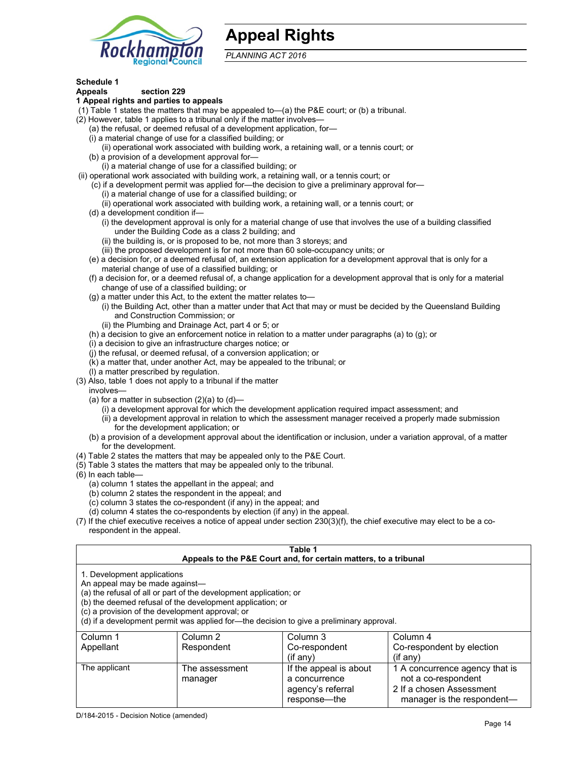

# **Appeal Rights**

*PLANNING ACT 2016*

## **Schedule 1**

#### **Appeals section 229 1 Appeal rights and parties to appeals**

- (1) Table 1 states the matters that may be appealed to—(a) the P&E court; or (b) a tribunal.
- (2) However, table 1 applies to a tribunal only if the matter involves—
	- (a) the refusal, or deemed refusal of a development application, for—
	- (i) a material change of use for a classified building; or
	- (ii) operational work associated with building work, a retaining wall, or a tennis court; or
	- (b) a provision of a development approval for—
	- (i) a material change of use for a classified building; or
- (ii) operational work associated with building work, a retaining wall, or a tennis court; or
	- (c) if a development permit was applied for—the decision to give a preliminary approval for—
		- (i) a material change of use for a classified building; or
		- (ii) operational work associated with building work, a retaining wall, or a tennis court; or
	- (d) a development condition if—
		- (i) the development approval is only for a material change of use that involves the use of a building classified under the Building Code as a class 2 building; and
		- (ii) the building is, or is proposed to be, not more than 3 storeys; and
		- (iii) the proposed development is for not more than 60 sole-occupancy units; or
	- (e) a decision for, or a deemed refusal of, an extension application for a development approval that is only for a material change of use of a classified building; or
	- (f) a decision for, or a deemed refusal of, a change application for a development approval that is only for a material change of use of a classified building; or
	- (g) a matter under this Act, to the extent the matter relates to—
		- (i) the Building Act, other than a matter under that Act that may or must be decided by the Queensland Building and Construction Commission; or
		- (ii) the Plumbing and Drainage Act, part 4 or 5; or
	- (h) a decision to give an enforcement notice in relation to a matter under paragraphs (a) to (g); or
	- (i) a decision to give an infrastructure charges notice; or
	- (j) the refusal, or deemed refusal, of a conversion application; or
	- (k) a matter that, under another Act, may be appealed to the tribunal; or
	- (l) a matter prescribed by regulation.
- (3) Also, table 1 does not apply to a tribunal if the matter
- involves—
	- (a) for a matter in subsection  $(2)(a)$  to  $(d)$ 
		- (i) a development approval for which the development application required impact assessment; and
		- (ii) a development approval in relation to which the assessment manager received a properly made submission for the development application; or
	- (b) a provision of a development approval about the identification or inclusion, under a variation approval, of a matter for the development.
- (4) Table 2 states the matters that may be appealed only to the P&E Court.
- (5) Table 3 states the matters that may be appealed only to the tribunal.
- (6) In each table—
	- (a) column 1 states the appellant in the appeal; and
	- (b) column 2 states the respondent in the appeal; and
	- (c) column 3 states the co-respondent (if any) in the appeal; and
	- (d) column 4 states the co-respondents by election (if any) in the appeal.
- (7) If the chief executive receives a notice of appeal under section 230(3)(f), the chief executive may elect to be a corespondent in the appeal.

| Table 1                                                                                                                                                                                                                                                                                                                                        |                           |                                                                  |                                                       |  |
|------------------------------------------------------------------------------------------------------------------------------------------------------------------------------------------------------------------------------------------------------------------------------------------------------------------------------------------------|---------------------------|------------------------------------------------------------------|-------------------------------------------------------|--|
|                                                                                                                                                                                                                                                                                                                                                |                           | Appeals to the P&E Court and, for certain matters, to a tribunal |                                                       |  |
| 1. Development applications<br>An appeal may be made against-<br>(a) the refusal of all or part of the development application; or<br>(b) the deemed refusal of the development application; or<br>(c) a provision of the development approval; or<br>(d) if a development permit was applied for-the decision to give a preliminary approval. |                           |                                                                  |                                                       |  |
| Column 1                                                                                                                                                                                                                                                                                                                                       | Column 2                  | Column 3                                                         | Column 4                                              |  |
| Appellant                                                                                                                                                                                                                                                                                                                                      | Respondent                | Co-respondent<br>$($ if any $)$                                  | Co-respondent by election<br>$($ if anv $)$           |  |
| The applicant                                                                                                                                                                                                                                                                                                                                  | The assessment<br>manager | If the appeal is about<br>a concurrence                          | 1 A concurrence agency that is<br>not a co-respondent |  |

agency's referral response—the

2 If a chosen Assessment manager is the respondent-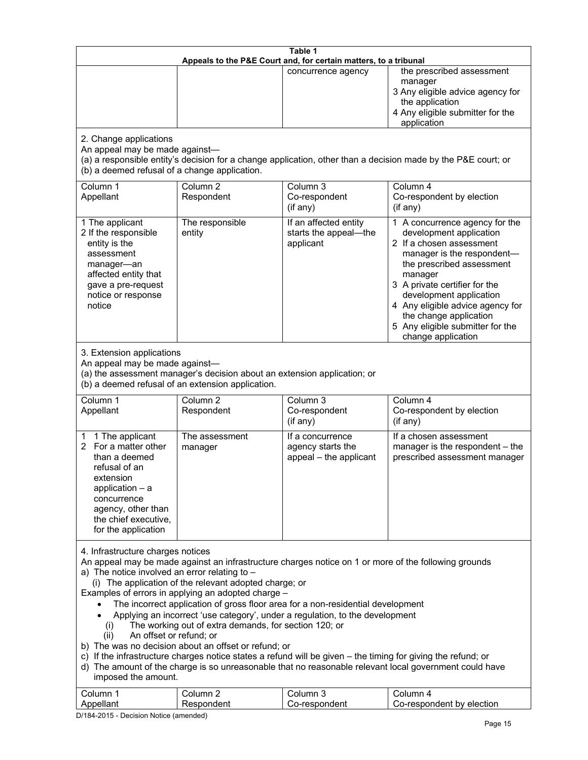| the prescribed assessment<br>concurrence agency<br>manager<br>the application<br>application<br>2. Change applications<br>An appeal may be made against-<br>(a) a responsible entity's decision for a change application, other than a decision made by the P&E court; or<br>(b) a deemed refusal of a change application.<br>Column 3<br>Column 1<br>Column <sub>2</sub><br>Column 4<br>Appellant<br>Respondent<br>Co-respondent<br>Co-respondent by election<br>(if any)<br>(if any)<br>1 The applicant<br>The responsible<br>If an affected entity<br>2 If the responsible<br>entity<br>starts the appeal-the<br>development application<br>applicant<br>2 If a chosen assessment<br>entity is the<br>assessment<br>the prescribed assessment<br>manager-an<br>affected entity that<br>manager<br>3 A private certifier for the<br>gave a pre-request<br>development application<br>notice or response<br>notice<br>the change application<br>change application<br>3. Extension applications<br>An appeal may be made against-<br>(a) the assessment manager's decision about an extension application; or<br>(b) a deemed refusal of an extension application.<br>Column 1<br>Column <sub>2</sub><br>Column 3<br>Column 4<br>Appellant<br>Respondent<br>Co-respondent<br>Co-respondent by election<br>(if any)<br>$(if$ any)<br>1 The applicant<br>The assessment<br>If a concurrence<br>If a chosen assessment<br>1<br>For a matter other<br>agency starts the<br>2<br>manager<br>than a deemed<br>appeal - the applicant<br>refusal of an<br>extension<br>application $-$ a<br>concurrence<br>agency, other than<br>the chief executive,<br>for the application<br>4. Infrastructure charges notices<br>An appeal may be made against an infrastructure charges notice on 1 or more of the following grounds<br>a) The notice involved an error relating to $-$<br>(i) The application of the relevant adopted charge; or<br>Examples of errors in applying an adopted charge -<br>The incorrect application of gross floor area for a non-residential development<br>Applying an incorrect 'use category', under a regulation, to the development<br>The working out of extra demands, for section 120; or<br>(i)<br>An offset or refund; or<br>(ii)<br>b) The was no decision about an offset or refund; or<br>c) If the infrastructure charges notice states a refund will be given - the timing for giving the refund; or | Table 1<br>Appeals to the P&E Court and, for certain matters, to a tribunal |  |  |                                                                                                                                      |  |
|--------------------------------------------------------------------------------------------------------------------------------------------------------------------------------------------------------------------------------------------------------------------------------------------------------------------------------------------------------------------------------------------------------------------------------------------------------------------------------------------------------------------------------------------------------------------------------------------------------------------------------------------------------------------------------------------------------------------------------------------------------------------------------------------------------------------------------------------------------------------------------------------------------------------------------------------------------------------------------------------------------------------------------------------------------------------------------------------------------------------------------------------------------------------------------------------------------------------------------------------------------------------------------------------------------------------------------------------------------------------------------------------------------------------------------------------------------------------------------------------------------------------------------------------------------------------------------------------------------------------------------------------------------------------------------------------------------------------------------------------------------------------------------------------------------------------------------------------------------------------------------------------------------------------------------------------------------------------------------------------------------------------------------------------------------------------------------------------------------------------------------------------------------------------------------------------------------------------------------------------------------------------------------------------------------------------------------------------------------------------------------------------------------------------------------------|-----------------------------------------------------------------------------|--|--|--------------------------------------------------------------------------------------------------------------------------------------|--|
|                                                                                                                                                                                                                                                                                                                                                                                                                                                                                                                                                                                                                                                                                                                                                                                                                                                                                                                                                                                                                                                                                                                                                                                                                                                                                                                                                                                                                                                                                                                                                                                                                                                                                                                                                                                                                                                                                                                                                                                                                                                                                                                                                                                                                                                                                                                                                                                                                                      |                                                                             |  |  | 3 Any eligible advice agency for<br>4 Any eligible submitter for the                                                                 |  |
|                                                                                                                                                                                                                                                                                                                                                                                                                                                                                                                                                                                                                                                                                                                                                                                                                                                                                                                                                                                                                                                                                                                                                                                                                                                                                                                                                                                                                                                                                                                                                                                                                                                                                                                                                                                                                                                                                                                                                                                                                                                                                                                                                                                                                                                                                                                                                                                                                                      |                                                                             |  |  |                                                                                                                                      |  |
|                                                                                                                                                                                                                                                                                                                                                                                                                                                                                                                                                                                                                                                                                                                                                                                                                                                                                                                                                                                                                                                                                                                                                                                                                                                                                                                                                                                                                                                                                                                                                                                                                                                                                                                                                                                                                                                                                                                                                                                                                                                                                                                                                                                                                                                                                                                                                                                                                                      |                                                                             |  |  |                                                                                                                                      |  |
|                                                                                                                                                                                                                                                                                                                                                                                                                                                                                                                                                                                                                                                                                                                                                                                                                                                                                                                                                                                                                                                                                                                                                                                                                                                                                                                                                                                                                                                                                                                                                                                                                                                                                                                                                                                                                                                                                                                                                                                                                                                                                                                                                                                                                                                                                                                                                                                                                                      |                                                                             |  |  | 1 A concurrence agency for the<br>manager is the respondent-<br>4 Any eligible advice agency for<br>5 Any eligible submitter for the |  |
|                                                                                                                                                                                                                                                                                                                                                                                                                                                                                                                                                                                                                                                                                                                                                                                                                                                                                                                                                                                                                                                                                                                                                                                                                                                                                                                                                                                                                                                                                                                                                                                                                                                                                                                                                                                                                                                                                                                                                                                                                                                                                                                                                                                                                                                                                                                                                                                                                                      |                                                                             |  |  |                                                                                                                                      |  |
|                                                                                                                                                                                                                                                                                                                                                                                                                                                                                                                                                                                                                                                                                                                                                                                                                                                                                                                                                                                                                                                                                                                                                                                                                                                                                                                                                                                                                                                                                                                                                                                                                                                                                                                                                                                                                                                                                                                                                                                                                                                                                                                                                                                                                                                                                                                                                                                                                                      |                                                                             |  |  |                                                                                                                                      |  |
|                                                                                                                                                                                                                                                                                                                                                                                                                                                                                                                                                                                                                                                                                                                                                                                                                                                                                                                                                                                                                                                                                                                                                                                                                                                                                                                                                                                                                                                                                                                                                                                                                                                                                                                                                                                                                                                                                                                                                                                                                                                                                                                                                                                                                                                                                                                                                                                                                                      |                                                                             |  |  | manager is the respondent - the<br>prescribed assessment manager                                                                     |  |
| d) The amount of the charge is so unreasonable that no reasonable relevant local government could have<br>imposed the amount.<br>Column 3<br>Column 1<br>Column <sub>2</sub><br>Column 4                                                                                                                                                                                                                                                                                                                                                                                                                                                                                                                                                                                                                                                                                                                                                                                                                                                                                                                                                                                                                                                                                                                                                                                                                                                                                                                                                                                                                                                                                                                                                                                                                                                                                                                                                                                                                                                                                                                                                                                                                                                                                                                                                                                                                                             |                                                                             |  |  |                                                                                                                                      |  |

D/184-2015 - Decision Notice (amended)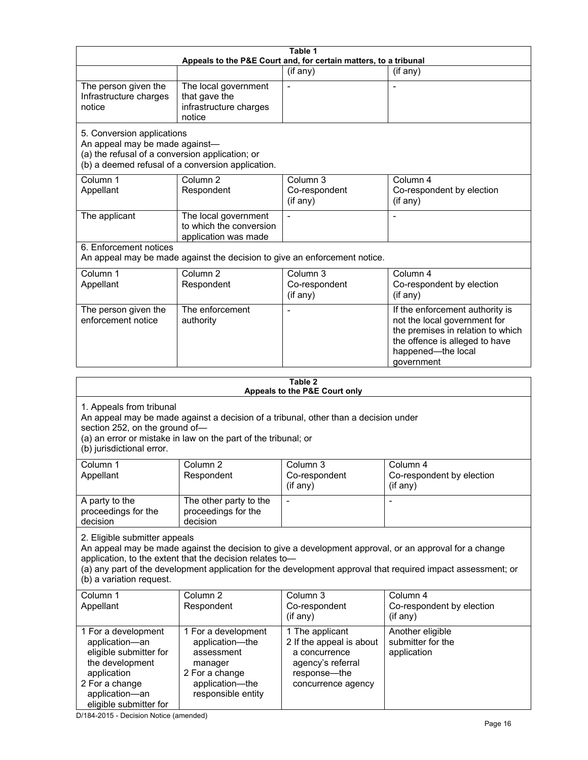| Table 1<br>Appeals to the P&E Court and, for certain matters, to a tribunal                                                                                                                                                                                                                                                                     |                                                                                                                                                                      |                                                                                                                         |                                                                                                                                                                            |  |  |
|-------------------------------------------------------------------------------------------------------------------------------------------------------------------------------------------------------------------------------------------------------------------------------------------------------------------------------------------------|----------------------------------------------------------------------------------------------------------------------------------------------------------------------|-------------------------------------------------------------------------------------------------------------------------|----------------------------------------------------------------------------------------------------------------------------------------------------------------------------|--|--|
|                                                                                                                                                                                                                                                                                                                                                 |                                                                                                                                                                      | (if any)                                                                                                                | (if any)                                                                                                                                                                   |  |  |
| The person given the<br>Infrastructure charges<br>notice                                                                                                                                                                                                                                                                                        | The local government<br>that gave the<br>infrastructure charges<br>notice                                                                                            | $\blacksquare$                                                                                                          | $\overline{a}$                                                                                                                                                             |  |  |
|                                                                                                                                                                                                                                                                                                                                                 | 5. Conversion applications<br>An appeal may be made against-<br>(a) the refusal of a conversion application; or<br>(b) a deemed refusal of a conversion application. |                                                                                                                         |                                                                                                                                                                            |  |  |
| Column 1<br>Appellant                                                                                                                                                                                                                                                                                                                           | Column <sub>2</sub><br>Respondent                                                                                                                                    | Column <sub>3</sub><br>Co-respondent<br>(if any)                                                                        | Column 4<br>Co-respondent by election<br>(if any)                                                                                                                          |  |  |
| The applicant                                                                                                                                                                                                                                                                                                                                   | The local government<br>to which the conversion<br>application was made                                                                                              |                                                                                                                         |                                                                                                                                                                            |  |  |
| 6. Enforcement notices                                                                                                                                                                                                                                                                                                                          | An appeal may be made against the decision to give an enforcement notice.                                                                                            |                                                                                                                         |                                                                                                                                                                            |  |  |
| Column 1<br>Appellant                                                                                                                                                                                                                                                                                                                           | Column <sub>2</sub><br>Respondent                                                                                                                                    | Column 3<br>Co-respondent<br>(if any)                                                                                   | Column 4<br>Co-respondent by election<br>(if any)                                                                                                                          |  |  |
| The person given the<br>enforcement notice                                                                                                                                                                                                                                                                                                      | The enforcement<br>authority                                                                                                                                         |                                                                                                                         | If the enforcement authority is<br>not the local government for<br>the premises in relation to which<br>the offence is alleged to have<br>happened-the local<br>government |  |  |
| Table 2                                                                                                                                                                                                                                                                                                                                         |                                                                                                                                                                      |                                                                                                                         |                                                                                                                                                                            |  |  |
|                                                                                                                                                                                                                                                                                                                                                 |                                                                                                                                                                      | Appeals to the P&E Court only                                                                                           |                                                                                                                                                                            |  |  |
| 1. Appeals from tribunal<br>An appeal may be made against a decision of a tribunal, other than a decision under<br>section 252, on the ground of-<br>(a) an error or mistake in law on the part of the tribunal; or<br>(b) jurisdictional error.                                                                                                |                                                                                                                                                                      |                                                                                                                         |                                                                                                                                                                            |  |  |
| Column 1<br>Appellant                                                                                                                                                                                                                                                                                                                           | Column 2<br>Respondent                                                                                                                                               | Column 3<br>Co-respondent<br>(if any)                                                                                   | Column 4<br>Co-respondent by election<br>(if any)                                                                                                                          |  |  |
| A party to the<br>proceedings for the<br>decision                                                                                                                                                                                                                                                                                               | The other party to the<br>proceedings for the<br>decision                                                                                                            |                                                                                                                         |                                                                                                                                                                            |  |  |
| 2. Eligible submitter appeals<br>An appeal may be made against the decision to give a development approval, or an approval for a change<br>application, to the extent that the decision relates to-<br>(a) any part of the development application for the development approval that required impact assessment; or<br>(b) a variation request. |                                                                                                                                                                      |                                                                                                                         |                                                                                                                                                                            |  |  |
| Column 1<br>Appellant                                                                                                                                                                                                                                                                                                                           | Column <sub>2</sub><br>Respondent                                                                                                                                    | Column 3<br>Co-respondent<br>(if any)                                                                                   | Column 4<br>Co-respondent by election<br>(if any)                                                                                                                          |  |  |
| 1 For a development<br>application-an<br>eligible submitter for<br>the development<br>application<br>2 For a change<br>application-an<br>eligible submitter for                                                                                                                                                                                 | 1 For a development<br>application-the<br>assessment<br>manager<br>2 For a change<br>application-the<br>responsible entity                                           | 1 The applicant<br>2 If the appeal is about<br>a concurrence<br>agency's referral<br>response-the<br>concurrence agency | Another eligible<br>submitter for the<br>application                                                                                                                       |  |  |

D/184-2015 - Decision Notice (amended)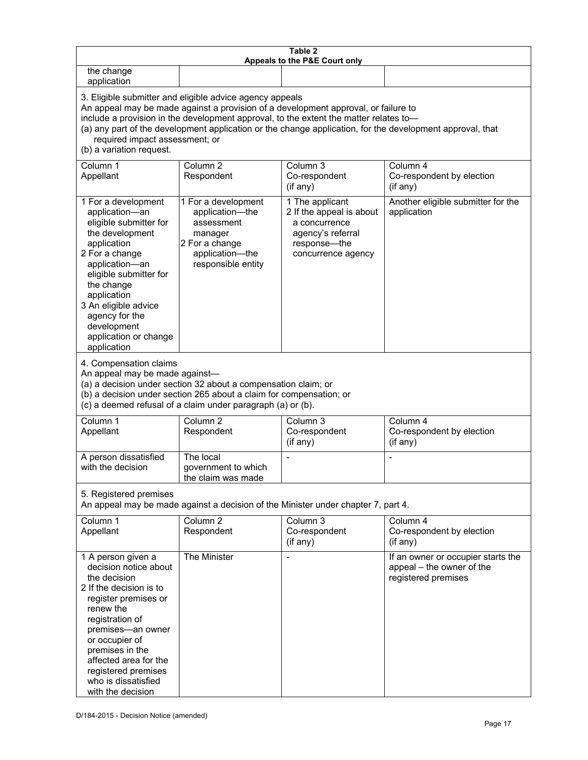| Table 2<br>Appeals to the P&E Court only                                                                                                                                                                                                                                                                                                                                                                           |                                                                                                                            |                                                                                                                         |                                                                                        |  |
|--------------------------------------------------------------------------------------------------------------------------------------------------------------------------------------------------------------------------------------------------------------------------------------------------------------------------------------------------------------------------------------------------------------------|----------------------------------------------------------------------------------------------------------------------------|-------------------------------------------------------------------------------------------------------------------------|----------------------------------------------------------------------------------------|--|
| the change<br>application                                                                                                                                                                                                                                                                                                                                                                                          |                                                                                                                            |                                                                                                                         |                                                                                        |  |
| 3. Eligible submitter and eligible advice agency appeals<br>An appeal may be made against a provision of a development approval, or failure to<br>include a provision in the development approval, to the extent the matter relates to-<br>(a) any part of the development application or the change application, for the development approval, that<br>required impact assessment; or<br>(b) a variation request. |                                                                                                                            |                                                                                                                         |                                                                                        |  |
| Column 1<br>Appellant                                                                                                                                                                                                                                                                                                                                                                                              | Column <sub>2</sub><br>Respondent                                                                                          | Column 3<br>Co-respondent<br>(if any)                                                                                   | Column 4<br>Co-respondent by election<br>(if any)                                      |  |
| 1 For a development<br>application-an<br>eligible submitter for<br>the development<br>application<br>2 For a change<br>application-an<br>eligible submitter for<br>the change<br>application<br>3 An eligible advice<br>agency for the<br>development<br>application or change<br>application                                                                                                                      | 1 For a development<br>application-the<br>assessment<br>manager<br>2 For a change<br>application-the<br>responsible entity | 1 The applicant<br>2 If the appeal is about<br>a concurrence<br>agency's referral<br>response-the<br>concurrence agency | Another eligible submitter for the<br>application                                      |  |
| 4. Compensation claims<br>An appeal may be made against-<br>(a) a decision under section 32 about a compensation claim; or<br>(b) a decision under section 265 about a claim for compensation; or<br>(c) a deemed refusal of a claim under paragraph (a) or (b).                                                                                                                                                   |                                                                                                                            |                                                                                                                         |                                                                                        |  |
| Column 1<br>Appellant                                                                                                                                                                                                                                                                                                                                                                                              | Column <sub>2</sub><br>Respondent                                                                                          | Column $3$<br>Co-respondent<br>(if any)                                                                                 | Column 4<br>Co-respondent by election<br>(if any)                                      |  |
| A person dissatisfied<br>with the decision                                                                                                                                                                                                                                                                                                                                                                         | The local<br>government to which<br>the claim was made                                                                     |                                                                                                                         |                                                                                        |  |
| 5. Registered premises<br>An appeal may be made against a decision of the Minister under chapter 7, part 4.                                                                                                                                                                                                                                                                                                        |                                                                                                                            |                                                                                                                         |                                                                                        |  |
| Column 1<br>Appellant                                                                                                                                                                                                                                                                                                                                                                                              | Column <sub>2</sub><br>Respondent                                                                                          | Column 3<br>Co-respondent<br>(if any)                                                                                   | Column 4<br>Co-respondent by election<br>(if any)                                      |  |
| 1 A person given a<br>decision notice about<br>the decision<br>2 If the decision is to<br>register premises or<br>renew the<br>registration of<br>premises-an owner<br>or occupier of<br>premises in the<br>affected area for the<br>registered premises<br>who is dissatisfied<br>with the decision                                                                                                               | The Minister                                                                                                               |                                                                                                                         | If an owner or occupier starts the<br>appeal - the owner of the<br>registered premises |  |